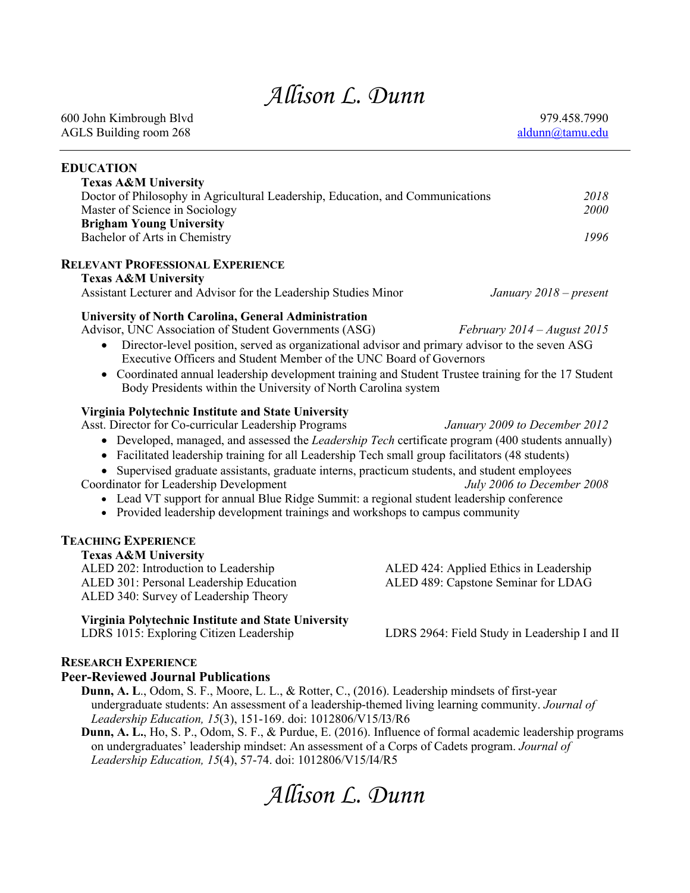# *Allison L. Dunn*

| <b>EDUCATION</b>                                                                                                                                                                                                                                                                                                                                                                                                                                                                                                                                                                                                                                   |                                                                               |              |
|----------------------------------------------------------------------------------------------------------------------------------------------------------------------------------------------------------------------------------------------------------------------------------------------------------------------------------------------------------------------------------------------------------------------------------------------------------------------------------------------------------------------------------------------------------------------------------------------------------------------------------------------------|-------------------------------------------------------------------------------|--------------|
| <b>Texas A&amp;M University</b><br>Doctor of Philosophy in Agricultural Leadership, Education, and Communications<br>Master of Science in Sociology<br><b>Brigham Young University</b>                                                                                                                                                                                                                                                                                                                                                                                                                                                             |                                                                               | 2018<br>2000 |
| Bachelor of Arts in Chemistry                                                                                                                                                                                                                                                                                                                                                                                                                                                                                                                                                                                                                      |                                                                               | 1996         |
| <b>RELEVANT PROFESSIONAL EXPERIENCE</b><br><b>Texas A&amp;M University</b><br>Assistant Lecturer and Advisor for the Leadership Studies Minor                                                                                                                                                                                                                                                                                                                                                                                                                                                                                                      | January 2018 – present                                                        |              |
| University of North Carolina, General Administration<br>Advisor, UNC Association of Student Governments (ASG)<br>Director-level position, served as organizational advisor and primary advisor to the seven ASG<br>Executive Officers and Student Member of the UNC Board of Governors<br>• Coordinated annual leadership development training and Student Trustee training for the 17 Student<br>Body Presidents within the University of North Carolina system                                                                                                                                                                                   | February $2014 - August 2015$                                                 |              |
| Virginia Polytechnic Institute and State University<br>Asst. Director for Co-curricular Leadership Programs<br>• Developed, managed, and assessed the <i>Leadership Tech</i> certificate program (400 students annually)<br>• Facilitated leadership training for all Leadership Tech small group facilitators (48 students)<br>Supervised graduate assistants, graduate interns, practicum students, and student employees<br>Coordinator for Leadership Development<br>• Lead VT support for annual Blue Ridge Summit: a regional student leadership conference<br>• Provided leadership development trainings and workshops to campus community | January 2009 to December 2012<br>July 2006 to December 2008                   |              |
| <b>TEACHING EXPERIENCE</b><br><b>Texas A&amp;M University</b><br>ALED 202: Introduction to Leadership<br>ALED 301: Personal Leadership Education<br>ALED 340: Survey of Leadership Theory                                                                                                                                                                                                                                                                                                                                                                                                                                                          | ALED 424: Applied Ethics in Leadership<br>ALED 489: Capstone Seminar for LDAG |              |
| Virginia Polytechnic Institute and State University<br>LDRS 1015: Exploring Citizen Leadership                                                                                                                                                                                                                                                                                                                                                                                                                                                                                                                                                     | LDRS 2964: Field Study in Leadership I and II                                 |              |
| <b>RESEARCH EXPERIENCE</b><br><b>Peer-Reviewed Journal Publications</b><br>Dunn, A. L., Odom, S. F., Moore, L. L., & Rotter, C., (2016). Leadership mindsets of first-year<br>undergraduate students: An assessment of a leadership-themed living learning community. Journal of                                                                                                                                                                                                                                                                                                                                                                   |                                                                               |              |

*Leadership Education, 15*(3), 151-169. doi: 1012806/V15/I3/R6 **Dunn, A. L.**, Ho, S. P., Odom, S. F., & Purdue, E. (2016). Influence of formal academic leadership programs on undergraduates' leadership mindset: An assessment of a Corps of Cadets program. *Journal of Leadership Education, 15*(4), 57-74. doi: 1012806/V15/I4/R5

*Allison L. Dunn*